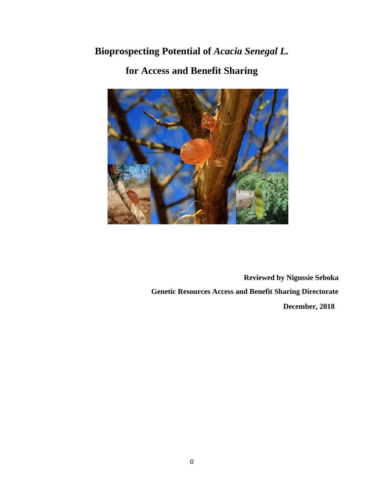# **Bioprospecting Potential of** *Acacia Senegal L.*



# **for Access and Benefit Sharing**

**Reviewed by Nigussie Seboka Genetic Resources Access and Benefit Sharing Directorate December, 2018**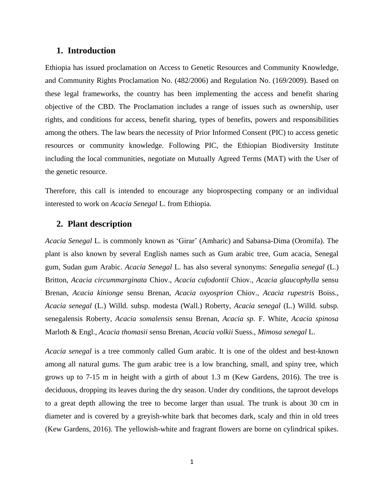# **1. Introduction**

Ethiopia has issued proclamation on Access to Genetic Resources and Community Knowledge, and Community Rights Proclamation No. (482/2006) and Regulation No. (169/2009). Based on these legal frameworks, the country has been implementing the access and benefit sharing objective of the CBD. The Proclamation includes a range of issues such as ownership, user rights, and conditions for access, benefit sharing, types of benefits, powers and responsibilities among the others. The law bears the necessity of Prior Informed Consent (PIC) to access genetic resources or community knowledge. Following PIC, the Ethiopian Biodiversity Institute including the local communities, negotiate on Mutually Agreed Terms (MAT) with the User of the genetic resource.

Therefore, this call is intended to encourage any bioprospecting company or an individual interested to work on *Acacia Senegal* L. from Ethiopia.

# **2. Plant description**

*Acacia Senegal* L. is commonly known as 'Girar' (Amharic) and Sabansa-Dima (Oromifa). The plant is also known by several English names such as Gum arabic tree, Gum acacia, Senegal gum, Sudan gum Arabic. *Acacia Senegal* L. has also several synonyms: *Senegalia senegal* (L.) Britton, *Acacia circummarginata* Chiov., *Acacia cufodontii* Chiov., *Acacia glaucophylla* sensu Brenan, *Acacia kinionge* sensu Brenan, *Acacia oxyosprion* Chiov.*, Acacia rupestris* Boiss., *Acacia senegal* (L.) Willd. subsp. modesta (Wall.) Roberty, *Acacia senegal* (L.) Willd. subsp. senegalensis Roberty, *Acacia somalensis* sensu Brenan, *Acacia sp.* F. White, *Acacia spinosa*  Marloth & Engl., *Acacia thomasii* sensu Brenan, *Acacia volkii* Suess., *Mimosa senegal* L.

*Acacia senegal* is a tree commonly called Gum arabic. It is one of the oldest and best-known among all natural gums. The gum arabic tree is a low branching, small, and spiny tree, which grows up to 7-15 m in height with a girth of about 1.3 m (Kew Gardens, 2016). The tree is deciduous, dropping its leaves during the dry season. Under dry conditions, the taproot develops to a great depth allowing the tree to become larger than usual. The trunk is about 30 cm in diameter and is covered by a greyish-white bark that becomes dark, scaly and thin in old trees (Kew Gardens, 2016). The yellowish-white and fragrant flowers are borne on cylindrical spikes.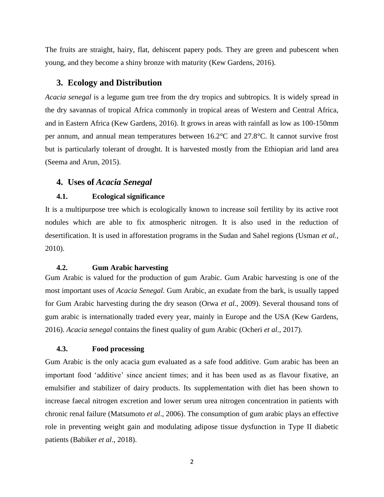The fruits are straight, hairy, flat, dehiscent papery pods. They are green and pubescent when young, and they become a shiny bronze with maturity (Kew Gardens, 2016).

# **3. Ecology and Distribution**

*Acacia senegal* is a legume gum tree from the dry tropics and subtropics. It is widely spread in the dry savannas of tropical Africa commonly in tropical areas of Western and Central Africa, and in Eastern Africa (Kew Gardens, 2016). It grows in areas with rainfall as low as 100-150mm per annum, and annual mean temperatures between 16.2°C and 27.8°C. It cannot survive frost but is particularly tolerant of drought. It is harvested mostly from the Ethiopian arid land area (Seema and Arun, 2015).

# **4. Uses of** *Acacia Senegal*

#### **4.1. Ecological significance**

It is a multipurpose tree which is ecologically known to increase soil fertility by its active root nodules which are able to fix atmospheric nitrogen. It is also used in the reduction of desertification. It is used in afforestation programs in the Sudan and Sahel regions (Usman *et al.*, 2010).

#### **4.2. Gum Arabic harvesting**

Gum Arabic is valued for the production of gum Arabic. Gum Arabic harvesting is one of the most important uses of *Acacia Senegal.* Gum Arabic, an exudate from the bark, is usually tapped for Gum Arabic harvesting during the dry season (Orwa *et al.*, 2009). Several thousand tons of gum arabic is internationally traded every year, mainly in Europe and the USA (Kew Gardens, 2016). *Acacia senegal* contains the finest quality of gum Arabic (Ocheri *et al.,* 2017).

#### **4.3. Food processing**

Gum Arabic is the only acacia gum evaluated as a safe food additive. Gum arabic has been an important food 'additive' since ancient times; and it has been used as as flavour fixative, an emulsifier and stabilizer of dairy products. Its supplementation with diet has been shown to increase faecal nitrogen excretion and lower serum urea nitrogen concentration in patients with chronic renal failure (Matsumoto *et al*., 2006). The consumption of gum arabic plays an effective role in preventing weight gain and modulating adipose tissue dysfunction in Type II diabetic patients (Babiker *et al*., 2018).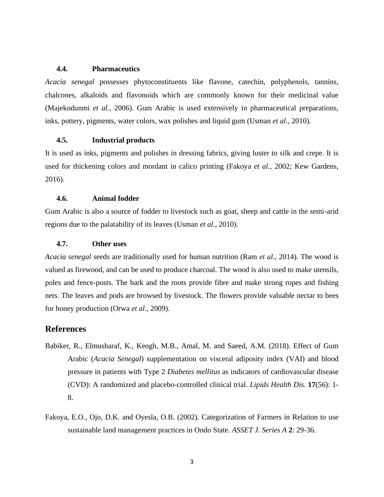## **4.4. Pharmaceutics**

*Acacia senegal* possesses phytoconstituents like flavone, catechin, polyphenols, tannins, chalcones, alkaloids and flavonoids which are commonly known for their medicinal value (Majekodunmi *et al.*, 2006). Gum Arabic is used extensively in pharmaceutical preparations, inks, pottery, pigments, water colors, wax polishes and liquid gum (Usman *et al*., 2010).

# **4.5. Industrial products**

It is used as inks, pigments and polishes in dressing fabrics, giving luster to silk and crepe. It is used for thickening colors and mordant in calico printing (Fakoya *et al.*, 2002; Kew Gardens, 2016).

#### **4.6. Animal fodder**

Gum Arabic is also a source of fodder to livestock such as goat, sheep and cattle in the semi-arid regions due to the palatability of its leaves (Usman *et al*., 2010).

#### **4.7. Other uses**

*Acacia senegal* seeds are traditionally used for human nutrition (Ram *et al*., 2014). The wood is valued as firewood, and can be used to produce charcoal. The wood is also used to make utensils, poles and fence-posts. The bark and the roots provide fibre and make strong ropes and fishing nets. The leaves and pods are browsed by livestock. The flowers provide valuable nectar to bees for honey production (Orwa *et al*., 2009).

# **References**

- Babiker, R., Elmusharaf, K., Keogh, M.B., Amal, M. and Saeed, A.M. (2018). Effect of Gum Arabic (*Acacia Senegal*) supplementation on visceral adiposity index (VAI) and blood pressure in patients with Type 2 *Diabetes mellitus* as indicators of cardiovascular disease (CVD): A randomized and placebo-controlled clinical trial. *Lipids Health Dis.* **17**(56): 1- 8.
- Fakoya, E.O., Ojo, D.K. and Oyesla, O.B. (2002). Categorization of Farmers in Relation to use sustainable land management practices in Ondo State. *ASSET J. Series A* **2**: 29-36.